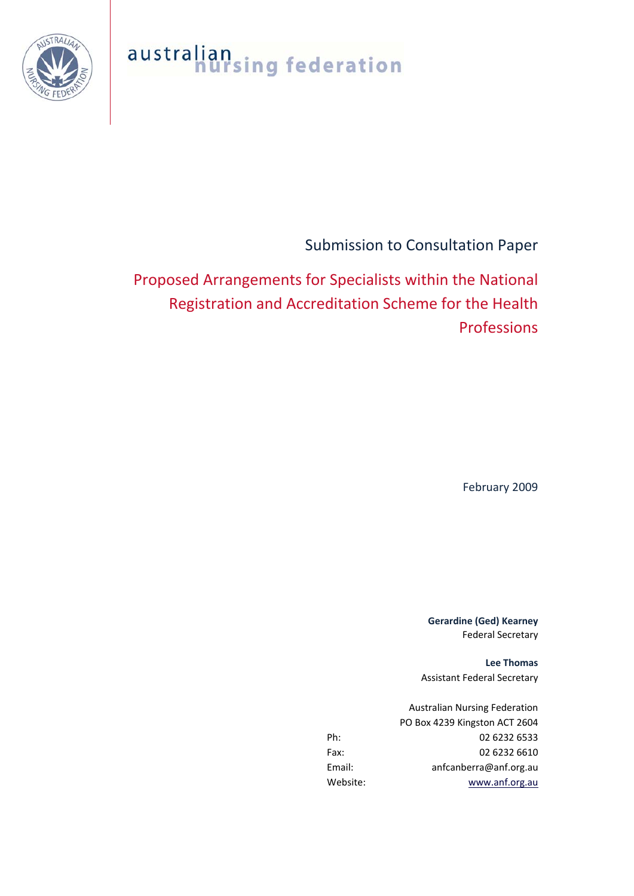australian<br>nursing federation



Submission to Consultation Paper

Proposed Arrangements for Specialists within the National Registration and Accreditation Scheme for the Health Professions

February 2009

**Gerardine (Ged) Kearney** Federal Secretary

**Lee Thomas** Assistant Federal Secretary

Australian Nursing Federation PO Box 4239 Kingston ACT 2604 Ph: 02 6232 6533 Fax: 02 6232 6610 Email: anfcanberra@anf.org.au Website: [www.anf.org.au](http://www.anf.org.au/)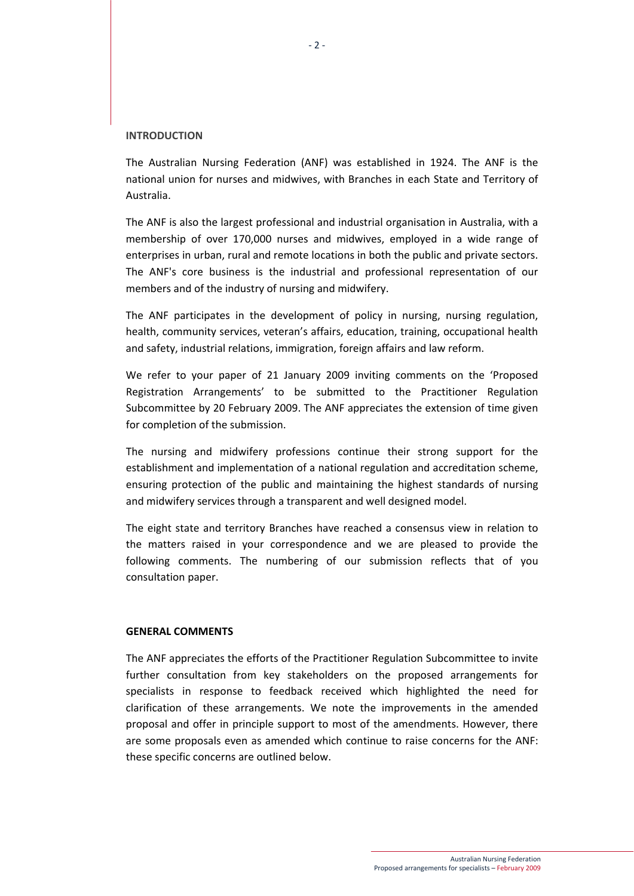## **INTRODUCTION**

The Australian Nursing Federation (ANF) was established in 1924. The ANF is the national union for nurses and midwives, with Branches in each State and Territory of Australia.

The ANF is also the largest professional and industrial organisation in Australia, with a membership of over 170,000 nurses and midwives, employed in a wide range of enterprises in urban, rural and remote locations in both the public and private sectors. The ANF's core business is the industrial and professional representation of our members and of the industry of nursing and midwifery.

The ANF participates in the development of policy in nursing, nursing regulation, health, community services, veteran's affairs, education, training, occupational health and safety, industrial relations, immigration, foreign affairs and law reform.

We refer to your paper of 21 January 2009 inviting comments on the 'Proposed Registration Arrangements' to be submitted to the Practitioner Regulation Subcommittee by 20 February 2009. The ANF appreciates the extension of time given for completion of the submission.

The nursing and midwifery professions continue their strong support for the establishment and implementation of a national regulation and accreditation scheme, ensuring protection of the public and maintaining the highest standards of nursing and midwifery services through a transparent and well designed model.

The eight state and territory Branches have reached a consensus view in relation to the matters raised in your correspondence and we are pleased to provide the following comments. The numbering of our submission reflects that of you consultation paper.

## **GENERAL COMMENTS**

The ANF appreciates the efforts of the Practitioner Regulation Subcommittee to invite further consultation from key stakeholders on the proposed arrangements for specialists in response to feedback received which highlighted the need for clarification of these arrangements. We note the improvements in the amended proposal and offer in principle support to most of the amendments. However, there are some proposals even as amended which continue to raise concerns for the ANF: these specific concerns are outlined below.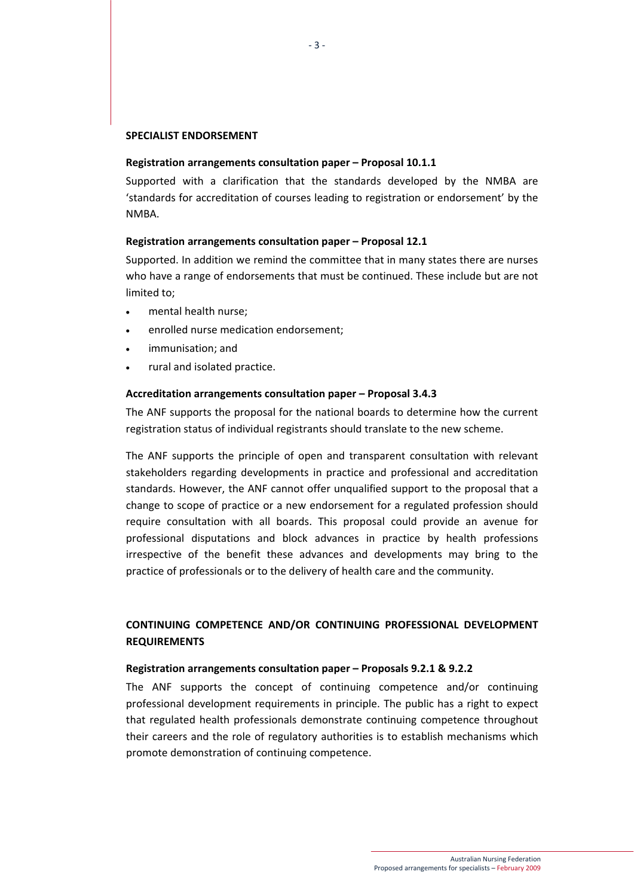## **SPECIALIST ENDORSEMENT**

#### **Registration arrangements consultation paper – Proposal 10.1.1**

Supported with a clarification that the standards developed by the NMBA are 'standards for accreditation of courses leading to registration or endorsement' by the NMBA.

## **Registration arrangements consultation paper – Proposal 12.1**

Supported. In addition we remind the committee that in many states there are nurses who have a range of endorsements that must be continued. These include but are not limited to;

- mental health nurse;
- enrolled nurse medication endorsement;
- immunisation; and
- rural and isolated practice.

### **Accreditation arrangements consultation paper – Proposal 3.4.3**

The ANF supports the proposal for the national boards to determine how the current registration status of individual registrants should translate to the new scheme.

The ANF supports the principle of open and transparent consultation with relevant stakeholders regarding developments in practice and professional and accreditation standards. However, the ANF cannot offer unqualified support to the proposal that a change to scope of practice or a new endorsement for a regulated profession should require consultation with all boards. This proposal could provide an avenue for professional disputations and block advances in practice by health professions irrespective of the benefit these advances and developments may bring to the practice of professionals or to the delivery of health care and the community.

# **CONTINUING COMPETENCE AND/OR CONTINUING PROFESSIONAL DEVELOPMENT REQUIREMENTS**

### **Registration arrangements consultation paper – Proposals 9.2.1 & 9.2.2**

The ANF supports the concept of continuing competence and/or continuing professional development requirements in principle. The public has a right to expect that regulated health professionals demonstrate continuing competence throughout their careers and the role of regulatory authorities is to establish mechanisms which promote demonstration of continuing competence.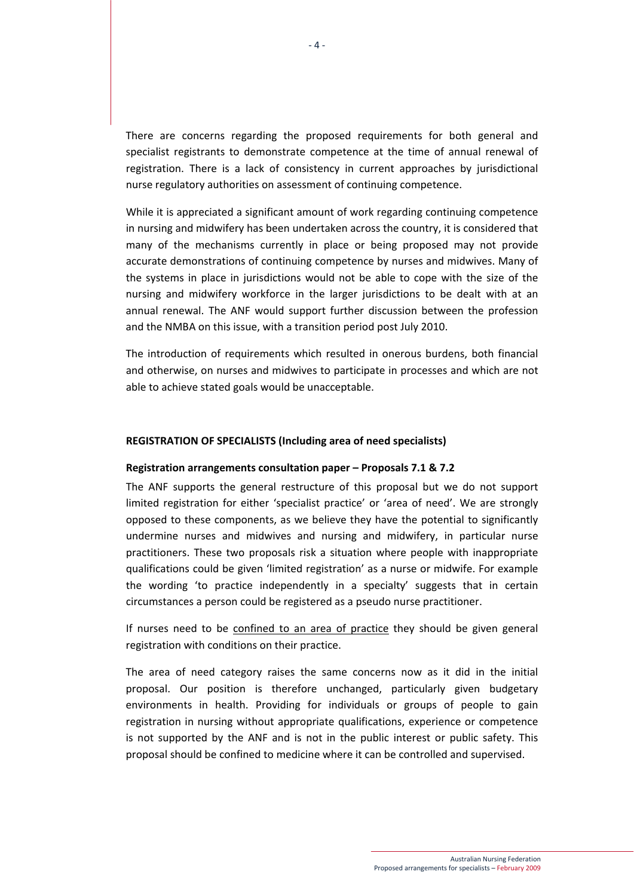There are concerns regarding the proposed requirements for both general and specialist registrants to demonstrate competence at the time of annual renewal of registration. There is a lack of consistency in current approaches by jurisdictional nurse regulatory authorities on assessment of continuing competence.

While it is appreciated a significant amount of work regarding continuing competence in nursing and midwifery has been undertaken across the country, it is considered that many of the mechanisms currently in place or being proposed may not provide accurate demonstrations of continuing competence by nurses and midwives. Many of the systems in place in jurisdictions would not be able to cope with the size of the nursing and midwifery workforce in the larger jurisdictions to be dealt with at an annual renewal. The ANF would support further discussion between the profession and the NMBA on this issue, with a transition period post July 2010.

The introduction of requirements which resulted in onerous burdens, both financial and otherwise, on nurses and midwives to participate in processes and which are not able to achieve stated goals would be unacceptable.

### **REGISTRATION OF SPECIALISTS (Including area of need specialists)**

### **Registration arrangements consultation paper – Proposals 7.1 & 7.2**

The ANF supports the general restructure of this proposal but we do not support limited registration for either 'specialist practice' or 'area of need'. We are strongly opposed to these components, as we believe they have the potential to significantly undermine nurses and midwives and nursing and midwifery, in particular nurse practitioners. These two proposals risk a situation where people with inappropriate qualifications could be given 'limited registration' as a nurse or midwife. For example the wording 'to practice independently in a specialty' suggests that in certain circumstances a person could be registered as a pseudo nurse practitioner.

If nurses need to be confined to an area of practice they should be given general registration with conditions on their practice.

The area of need category raises the same concerns now as it did in the initial proposal. Our position is therefore unchanged, particularly given budgetary environments in health. Providing for individuals or groups of people to gain registration in nursing without appropriate qualifications, experience or competence is not supported by the ANF and is not in the public interest or public safety. This proposal should be confined to medicine where it can be controlled and supervised.